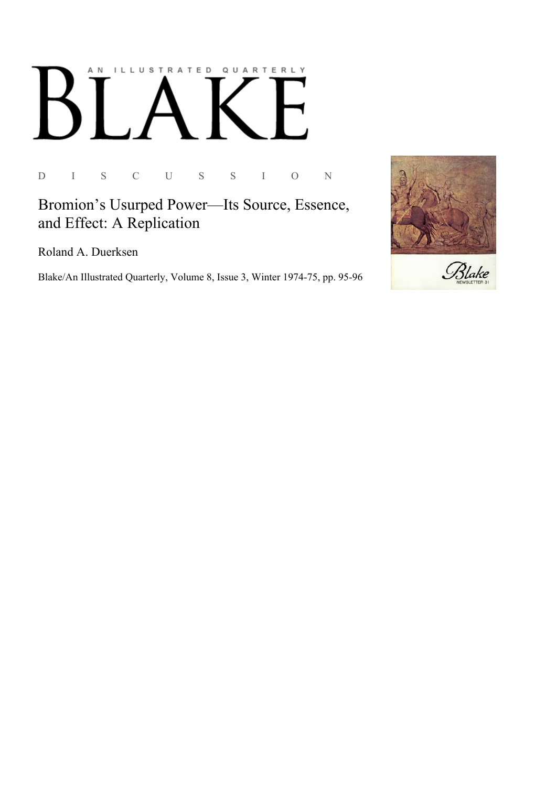## AN ILLUSTRATED QUARTERLY

 $\mathbf D$  $\bar{I}$ S  $\mathsf C$  $\mathbf U$  $\mathbf S$  $\mathbf S$  $\bar{\rm I}$  $\bigcirc$  $\overline{N}$ 

## Bromion's Usurped Power-Its Source, Essence, and Effect: A Replication

Roland A. Duerksen

Blake/An Illustrated Quarterly, Volume 8, Issue 3, Winter 1974-75, pp. 95-96

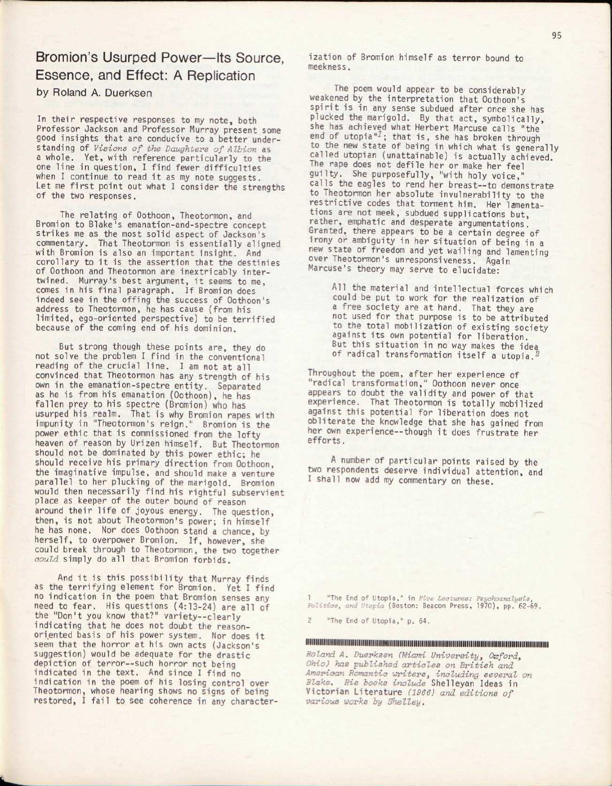Bromion's Usurped Power—Its Source, Essence, and Effect: A Replication by Roland A. Duerksen

In their respective responses to my note, both Professor Jackson and Professor Murray present some good insights that are conducive to a better understanding of *Visions of the Daughters of Albion* as a whole. Yet, with reference particularly to the one line in question, I find fewer difficulties when I continue to read it as my note suggests. Let me first point out what I consider the strengths of the two responses.

The relating of Oothoon, Theotormon, and Bromion to Blake's emanation-and-spectre concept strikes me as the most solid aspect of Jackson's commentary. That Theotormon is essentially aligned with Bromion is also an important insight. And corollary to it is the assertion that the destinies of Oothoon and Theotormon are inextricably intertwined. Murray's best argument, it seems to me, comes in his final paragraph. If Bromion does indeed see in the offing the success of Oothoon's address to Theotormon, he has cause (from his limited, ego-oriented perspective) to be terrified because of the coming end of his dominion.

But strong though these points are, they do not solve the problem I find in the conventional reading of the crucial line. I am not at all convinced that Theotormon has any strength of his own in the emanation-spectre entity. Separated as he is from his emanation (Oothoon), he has fallen prey to his spectre (Bromion) who has usurped his realm. That is why Bromion rapes with impunity in "Theotormon's reign." Bromion is the power ethic that is commissioned from the lofty heaven of reason by Urizen himself. But Theotormon should not be dominated by this power ethic; he should receive his primary direction from Oothoon, the imaginative impulse, and should make a venture parallel to her plucking of the marigold. Bromion would then necessarily find his rightful subservient place as keeper of the outer bound of reason around their life of joyous energy. The question, then, is not about Theotormon's power; in himself he has none. Nor does Oothoon stand a chance, by herself, to overpower Bromion. If, however, she could break through to Theotormon, the two together *oould* simply do all that Bromion forbids.

And it is this possibility that Murray finds as the terrifying element for Bromion. Yet I find no indication in the poem that Bromion senses any need to fear. His questions (4:13-24) are all of the "Don't you know that?" variety--clearly indicating that he does not doubt the reasonoriented basis of his power system. Nor does it seem that the horror at his own acts (Jackson's suggestion) would be adequate for the drastic depiction of terror--such horror not being indicated in the text. And since I find no indication in the poem of his losing control over Theotormon, whose hearing shows no signs of being restored, I fail to see coherence in any characterization of Bromion himself as terror bound to meekness.

The poem would appear to be considerably weakened by the interpretation that Oothoon's spirit is in any sense subdued after once she has plucked the marigold. By that act, symbolically, she has achieved what Herbert Marcuse calls "the end of utopia"<sup>1</sup>; that is, she has broken through to the new state of being in which what is generally called utopian (unattainable) is actually achieved. The rape does not defile her or make her feel guilty. She purposefully, "with holy voice," calls the eagles to rend her breast—to demonstrate to Theotormon her absolute invulnerability to the restrictive codes that torment him. Her lamentations are not meek, subdued supplications but, rather, emphatic and desperate argumentations. Granted, there appears to be a certain degree of irony or ambiguity in her situation of being in a new state of freedom and yet wailing and lamenting over Theotormon's unresponsiveness. Again Marcuse's theory may serve to elucidate:

All the material and intellectual forces which could be put to work for the realization of a free society are at hand. That they are not used for that purpose is to be attributed to the total mobilization of existing society against its own potential for liberation. But this situation in no way makes the idea of radical transformation itself a utopia.

Throughout the poem, after her experience of "radical transformation," Oothoon never once appears to doubt the validity and power of that experience. That Theotormon is totally mobilized against this potential for liberation does not obliterate the knowledge that she has gained from her own experience—though it does frustrate her efforts.

A number of particular points raised by the two respondents deserve individual attention, and I shall now add my commentary on these.

"The End of Utopia," in *Vive Lectures: Psychoanalysis, Politics, and Utopia* (Boston: Beacon Press, 1970), pp. 62-69.

"The End of Utopia," p. 64.

■fiiiiiiiiiiiiiiiiiiittaiiiiifiiiiiiiiiM«iiiiiiiiiiiiiiiiiiiiiiiiiiiiiiiiiiiiiiiiiiiiiitiiiiiiifiiiiiiiiiiiiiiiiiiiiiiiiiii

*Roland A. Duerksen (Miami University} Oxford, Ohio) has published articles on British and American Romantic writers, including several on Blake. His books include* Shelleyan Ideas in Victorian Literature *(1966) and editions of various works by Shelley.*